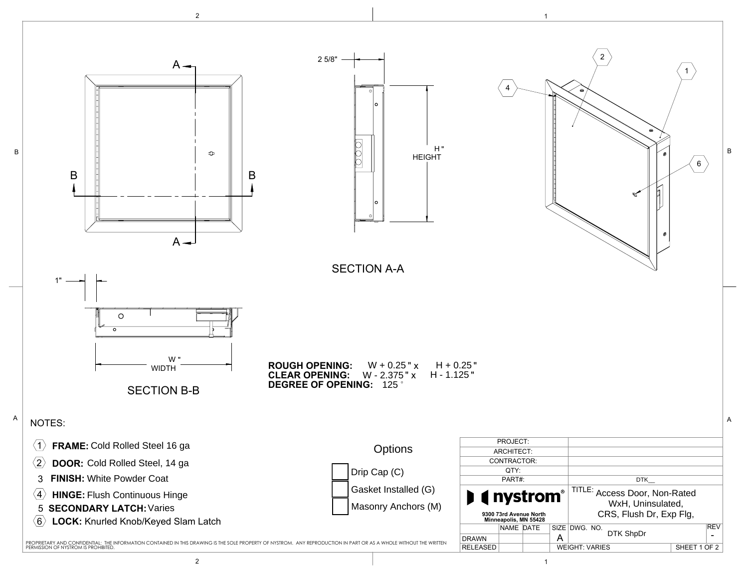